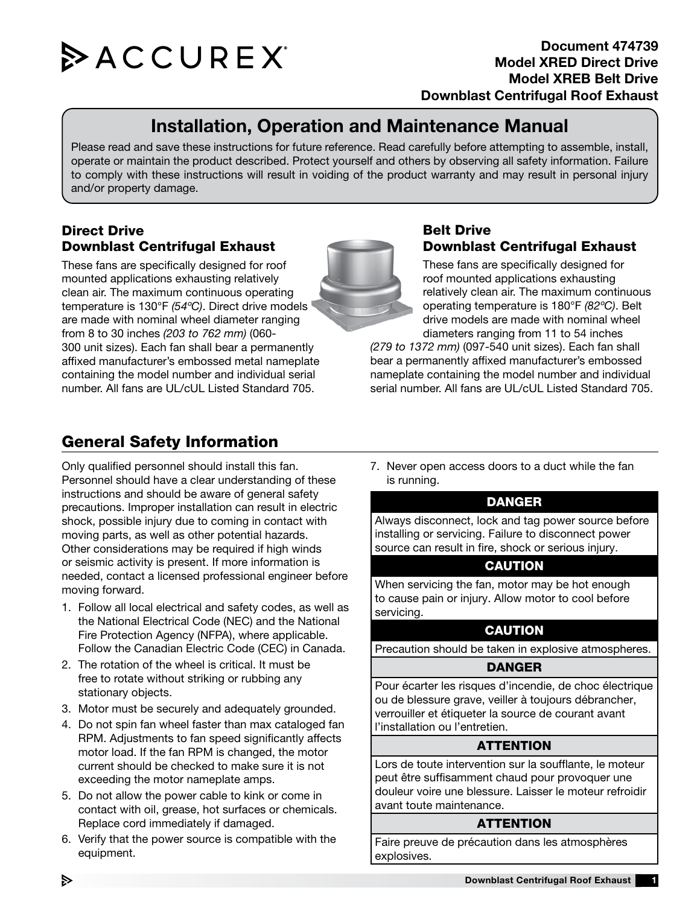

# Installation, Operation and Maintenance Manual

Please read and save these instructions for future reference. Read carefully before attempting to assemble, install, operate or maintain the product described. Protect yourself and others by observing all safety information. Failure to comply with these instructions will result in voiding of the product warranty and may result in personal injury and/or property damage.

## Direct Drive Downblast Centrifugal Exhaust

These fans are specifically designed for roof mounted applications exhausting relatively clean air. The maximum continuous operating temperature is 130°F *(54ºC)*. Direct drive models are made with nominal wheel diameter ranging from 8 to 30 inches *(203 to 762 mm)* (060- 300 unit sizes). Each fan shall bear a permanently affixed manufacturer's embossed metal nameplate containing the model number and individual serial number. All fans are UL/cUL Listed Standard 705.

## Belt Drive Downblast Centrifugal Exhaust

These fans are specifically designed for roof mounted applications exhausting relatively clean air. The maximum continuous operating temperature is 180°F *(82ºC)*. Belt drive models are made with nominal wheel diameters ranging from 11 to 54 inches

*(279 to 1372 mm)* (097-540 unit sizes). Each fan shall bear a permanently affixed manufacturer's embossed nameplate containing the model number and individual serial number. All fans are UL/cUL Listed Standard 705.

# General Safety Information

Only qualified personnel should install this fan. Personnel should have a clear understanding of these instructions and should be aware of general safety precautions. Improper installation can result in electric shock, possible injury due to coming in contact with moving parts, as well as other potential hazards. Other considerations may be required if high winds or seismic activity is present. If more information is needed, contact a licensed professional engineer before moving forward.

- 1. Follow all local electrical and safety codes, as well as the National Electrical Code (NEC) and the National Fire Protection Agency (NFPA), where applicable. Follow the Canadian Electric Code (CEC) in Canada.
- 2. The rotation of the wheel is critical. It must be free to rotate without striking or rubbing any stationary objects.
- 3. Motor must be securely and adequately grounded.
- 4. Do not spin fan wheel faster than max cataloged fan RPM. Adjustments to fan speed significantly affects motor load. If the fan RPM is changed, the motor current should be checked to make sure it is not exceeding the motor nameplate amps.
- 5. Do not allow the power cable to kink or come in contact with oil, grease, hot surfaces or chemicals. Replace cord immediately if damaged.
- 6. Verify that the power source is compatible with the equipment.

7. Never open access doors to a duct while the fan is running.

## DANGER

Always disconnect, lock and tag power source before installing or servicing. Failure to disconnect power source can result in fire, shock or serious injury.

## CAUTION

When servicing the fan, motor may be hot enough to cause pain or injury. Allow motor to cool before servicing.

## **CAUTION**

Precaution should be taken in explosive atmospheres.

#### DANGER

Pour écarter les risques d'incendie, de choc électrique ou de blessure grave, veiller à toujours débrancher, verrouiller et étiqueter la source de courant avant l'installation ou l'entretien.

#### **ATTENTION**

Lors de toute intervention sur la soufflante, le moteur peut être suffisamment chaud pour provoquer une douleur voire une blessure. Laisser le moteur refroidir avant toute maintenance.

#### **ATTENTION**

Faire preuve de précaution dans les atmosphères explosives.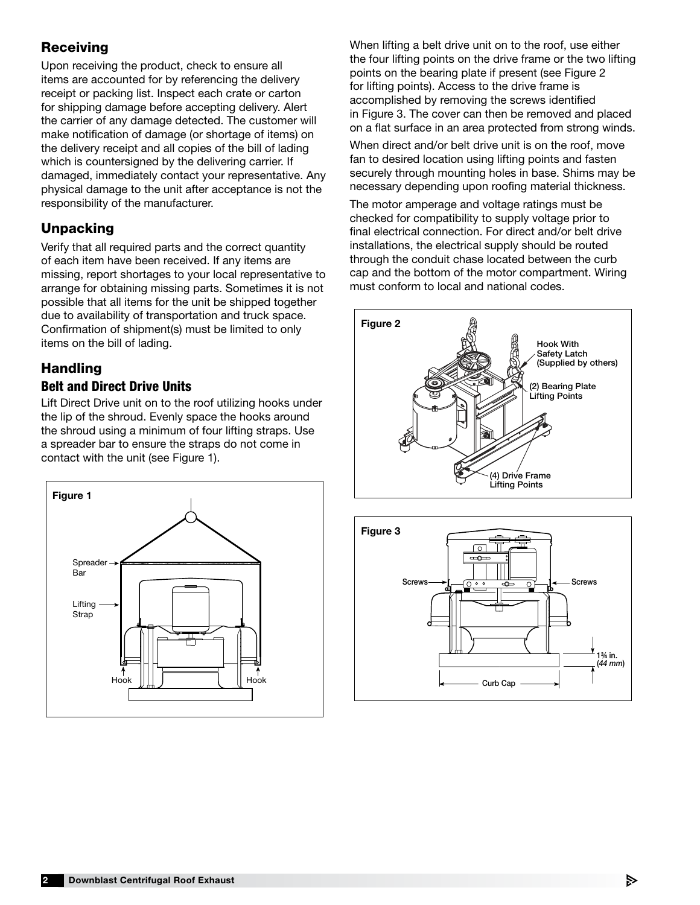## Receiving

Upon receiving the product, check to ensure all items are accounted for by referencing the delivery receipt or packing list. Inspect each crate or carton for shipping damage before accepting delivery. Alert the carrier of any damage detected. The customer will make notification of damage (or shortage of items) on the delivery receipt and all copies of the bill of lading which is countersigned by the delivering carrier. If damaged, immediately contact your representative. Any physical damage to the unit after acceptance is not the responsibility of the manufacturer.

## **Unpacking**

Verify that all required parts and the correct quantity of each item have been received. If any items are missing, report shortages to your local representative to arrange for obtaining missing parts. Sometimes it is not possible that all items for the unit be shipped together due to availability of transportation and truck space. Confirmation of shipment(s) must be limited to only items on the bill of lading.

# Handling

## Belt and Direct Drive Units

Lift Direct Drive unit on to the roof utilizing hooks under the lip of the shroud. Evenly space the hooks around the shroud using a minimum of four lifting straps. Use a spreader bar to ensure the straps do not come in contact with the unit (see Figure 1).



When lifting a belt drive unit on to the roof, use either the four lifting points on the drive frame or the two lifting points on the bearing plate if present (see Figure 2 for lifting points). Access to the drive frame is accomplished by removing the screws identified in Figure 3. The cover can then be removed and placed on a flat surface in an area protected from strong winds.

When direct and/or belt drive unit is on the roof, move fan to desired location using lifting points and fasten securely through mounting holes in base. Shims may be necessary depending upon roofing material thickness.

The motor amperage and voltage ratings must be checked for compatibility to supply voltage prior to final electrical connection. For direct and/or belt drive installations, the electrical supply should be routed through the conduit chase located between the curb cap and the bottom of the motor compartment. Wiring must conform to local and national codes.



Curb Cap



(*44 mm*) 1¾ in.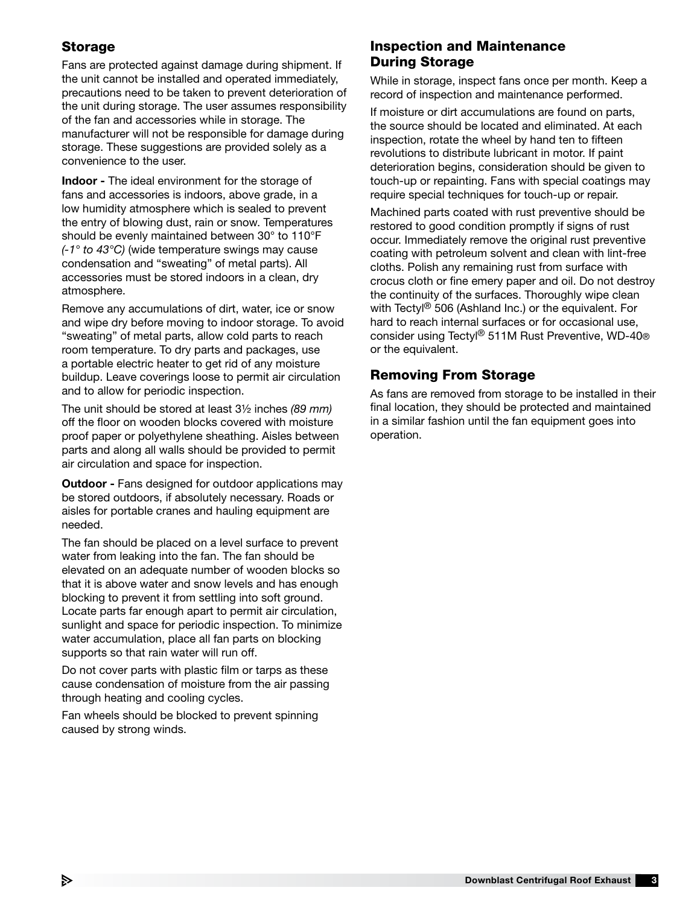## Storage

Fans are protected against damage during shipment. If the unit cannot be installed and operated immediately, precautions need to be taken to prevent deterioration of the unit during storage. The user assumes responsibility of the fan and accessories while in storage. The manufacturer will not be responsible for damage during storage. These suggestions are provided solely as a convenience to the user.

Indoor - The ideal environment for the storage of fans and accessories is indoors, above grade, in a low humidity atmosphere which is sealed to prevent the entry of blowing dust, rain or snow. Temperatures should be evenly maintained between 30° to 110°F *(-1° to 43°C)* (wide temperature swings may cause condensation and "sweating" of metal parts). All accessories must be stored indoors in a clean, dry atmosphere.

Remove any accumulations of dirt, water, ice or snow and wipe dry before moving to indoor storage. To avoid "sweating" of metal parts, allow cold parts to reach room temperature. To dry parts and packages, use a portable electric heater to get rid of any moisture buildup. Leave coverings loose to permit air circulation and to allow for periodic inspection.

The unit should be stored at least 3½ inches *(89 mm)* off the floor on wooden blocks covered with moisture proof paper or polyethylene sheathing. Aisles between parts and along all walls should be provided to permit air circulation and space for inspection.

**Outdoor - Fans designed for outdoor applications may** be stored outdoors, if absolutely necessary. Roads or aisles for portable cranes and hauling equipment are needed.

The fan should be placed on a level surface to prevent water from leaking into the fan. The fan should be elevated on an adequate number of wooden blocks so that it is above water and snow levels and has enough blocking to prevent it from settling into soft ground. Locate parts far enough apart to permit air circulation, sunlight and space for periodic inspection. To minimize water accumulation, place all fan parts on blocking supports so that rain water will run off.

Do not cover parts with plastic film or tarps as these cause condensation of moisture from the air passing through heating and cooling cycles.

Fan wheels should be blocked to prevent spinning caused by strong winds.

## Inspection and Maintenance During Storage

While in storage, inspect fans once per month. Keep a record of inspection and maintenance performed.

If moisture or dirt accumulations are found on parts, the source should be located and eliminated. At each inspection, rotate the wheel by hand ten to fifteen revolutions to distribute lubricant in motor. If paint deterioration begins, consideration should be given to touch-up or repainting. Fans with special coatings may require special techniques for touch-up or repair.

Machined parts coated with rust preventive should be restored to good condition promptly if signs of rust occur. Immediately remove the original rust preventive coating with petroleum solvent and clean with lint-free cloths. Polish any remaining rust from surface with crocus cloth or fine emery paper and oil. Do not destroy the continuity of the surfaces. Thoroughly wipe clean with Tectyl<sup>®</sup> 506 (Ashland Inc.) or the equivalent. For hard to reach internal surfaces or for occasional use, consider using Tectyl® 511M Rust Preventive, WD-40® or the equivalent.

## Removing From Storage

As fans are removed from storage to be installed in their final location, they should be protected and maintained in a similar fashion until the fan equipment goes into operation.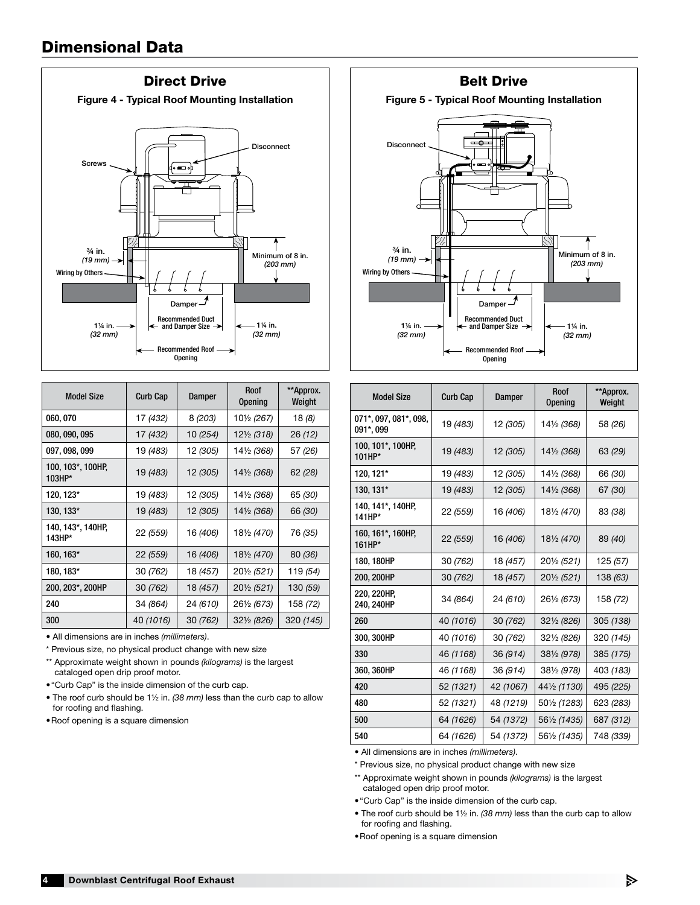

| <b>Model Size</b>           | <b>Curb Cap</b> | Damper                | <b>Roof</b><br><b>Opening</b> | **Approx.<br>Weight |  |
|-----------------------------|-----------------|-----------------------|-------------------------------|---------------------|--|
| 060, 070                    | 17 (432)        | 8 (203)               | 10½ (267)                     | 18 (8)              |  |
| 080, 090, 095               | 17 (432)        | 10 (254)              | 12½ (318)                     | 26 (12)             |  |
| 097, 098, 099               | 19 (483)        | 12 (305)<br>14½ (368) |                               | 57 (26)             |  |
| 100, 103*, 100HP,<br>103HP* | 19 (483)        | 12 (305)              | 14½ (368)                     | 62(28)              |  |
| 120, 123*<br>19 (483)       |                 | 12 (305)              | 14½ (368)                     | 65 (30)             |  |
| 130, 133*                   | 19 (483)        | 12 (305)              | 14½ (368)                     | 66 (30)             |  |
| 140, 143*, 140HP,<br>143HP* | 22 (559)        | 16 (406)              | 18½ (470)                     | 76 (35)             |  |
| 160, 163*                   | 22 (559)        | 16 (406)              | 181/2 (470)                   | 80 (36)             |  |
| 180, 183*                   | 30 (762)        | 18 (457)              | 201/2 (521)                   | 119 (54)            |  |
| 200, 203*, 200HP            | 30 (762)        | 18 (457)              | 201/2 (521)                   | 130 (59)            |  |
| 240                         | 34 (864)        | 24 (610)              | 261/2 (673)                   | 158 (72)            |  |
| 300                         | 40 (1016)       | 30 (762)              | $32\frac{1}{2}$ (826)         | 320 (145)           |  |

• All dimensions are in inches *(millimeters)*.

\* Previous size, no physical product change with new size

\*\* Approximate weight shown in pounds *(kilograms)* is the largest cataloged open drip proof motor.

•"Curb Cap" is the inside dimension of the curb cap.

• The roof curb should be 1½ in. *(38 mm)* less than the curb cap to allow for roofing and flashing.

•Roof opening is a square dimension



| <b>Model Size</b>                  | <b>Curb Cap</b> | Damper                    | Roof<br><b>Opening</b> | **Approx.<br>Weight |  |
|------------------------------------|-----------------|---------------------------|------------------------|---------------------|--|
| 071*, 097, 081*, 098,<br>091*, 099 | 19 (483)        | 12 (305)                  | 14½ (368)              | 58 (26)             |  |
| 100, 101*, 100HP,<br>101HP*        | 19 (483)        | 12 (305)                  | 14½ (368)              | 63 (29)             |  |
| 120, 121*                          | 19 (483)        | 12 (305)                  | 141/2 (368)            | 66 (30)             |  |
| 130, 131*                          | 19 (483)        | 12 (305)                  | 141/2 (368)            | 67 (30)             |  |
| 140, 141*, 140HP,<br>141HP*        | 22 (559)        | 16 (406)                  | 181/2 (470)            | 83 (38)             |  |
| 160, 161*, 160HP,<br>$161HP*$      | 22 (559)        | 16 (406)                  | 181/2 (470)            | 89 (40)             |  |
| 180, 180HP                         | 30 (762)        | 18 (457)                  | 201/2 (521)            | 125 (57)            |  |
| 200, 200HP                         | 30 (762)        | 18 (457)                  | 201/2 (521)            | 138 (63)            |  |
| 220, 220HP,<br>240, 240HP          | 34 (864)        | 24 (610)                  | 261/2 (673)            |                     |  |
| 260                                | 40 (1016)       | 30 (762)                  | 321/2 (826)            | 305 (138)           |  |
| 300, 300HP                         | 40 (1016)       | 30 (762)                  | 321/2 (826)            | 320 (145)           |  |
| 330                                | 46 (1168)       | 36 (914)                  | 381/2 (978)            | 385 (175)           |  |
| 360, 360HP                         | 46 (1168)       | 36 (914)                  | 381/2 (978)            | 403 (183)           |  |
| 420                                | 52 (1321)       | 42 (1067)                 | 441/2 (1130)           | 495 (225)           |  |
| 480                                | 52 (1321)       | 48 (1219)<br>501/2 (1283) |                        | 623 (283)           |  |
| 500                                | 64 (1626)       | 54 (1372)                 | 561/2 (1435)           | 687 (312)           |  |
| 540                                | 64 (1626)       | 54 (1372)                 | 561/2 (1435)           | 748 (339)           |  |

• All dimensions are in inches *(millimeters)*.

\* Previous size, no physical product change with new size

\*\* Approximate weight shown in pounds *(kilograms)* is the largest cataloged open drip proof motor.

•"Curb Cap" is the inside dimension of the curb cap.

• The roof curb should be 1½ in. *(38 mm)* less than the curb cap to allow for roofing and flashing.

•Roof opening is a square dimension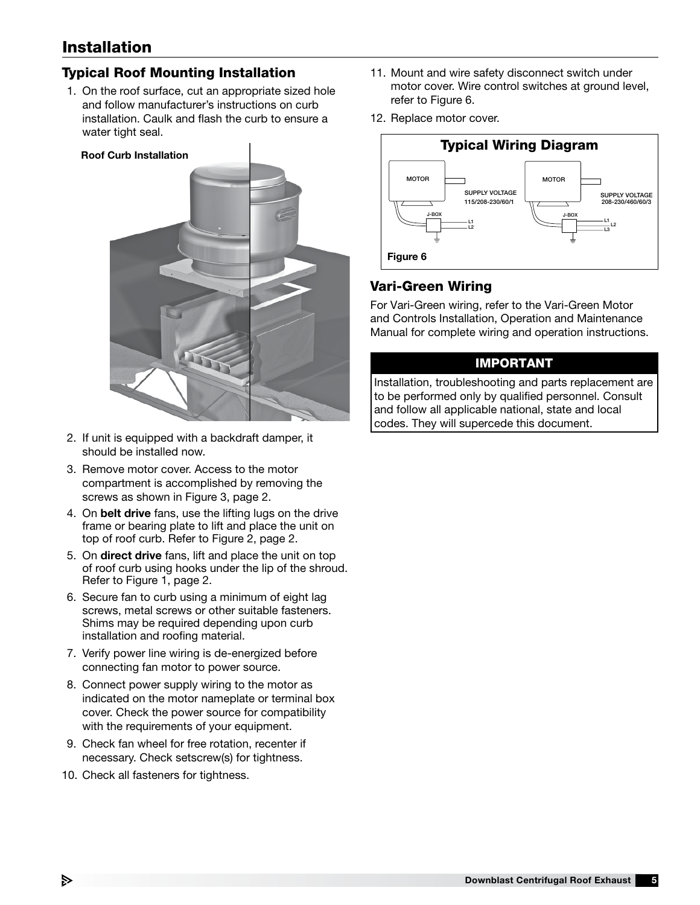# Installation

## Typical Roof Mounting Installation

1. On the roof surface, cut an appropriate sized hole and follow manufacturer's instructions on curb installation. Caulk and flash the curb to ensure a water tight seal.



- 2. If unit is equipped with a backdraft damper, it should be installed now.
- 3. Remove motor cover. Access to the motor compartment is accomplished by removing the screws as shown in Figure 3, page 2.
- 4. On belt drive fans, use the lifting lugs on the drive frame or bearing plate to lift and place the unit on top of roof curb. Refer to Figure 2, page 2.
- 5. On direct drive fans, lift and place the unit on top of roof curb using hooks under the lip of the shroud. Refer to Figure 1, page 2.
- 6. Secure fan to curb using a minimum of eight lag screws, metal screws or other suitable fasteners. Shims may be required depending upon curb installation and roofing material.
- 7. Verify power line wiring is de-energized before connecting fan motor to power source.
- 8. Connect power supply wiring to the motor as indicated on the motor nameplate or terminal box cover. Check the power source for compatibility with the requirements of your equipment.
- 9. Check fan wheel for free rotation, recenter if necessary. Check setscrew(s) for tightness.
- 10. Check all fasteners for tightness.
- 11. Mount and wire safety disconnect switch under motor cover. Wire control switches at ground level, refer to Figure 6.
- 12. Replace motor cover.



#### Vari-Green Wiring

For Vari-Green wiring, refer to the Vari-Green Motor and Controls Installation, Operation and Maintenance Manual for complete wiring and operation instructions.

#### IMPORTANT

Installation, troubleshooting and parts replacement are to be performed only by qualified personnel. Consult and follow all applicable national, state and local codes. They will supercede this document.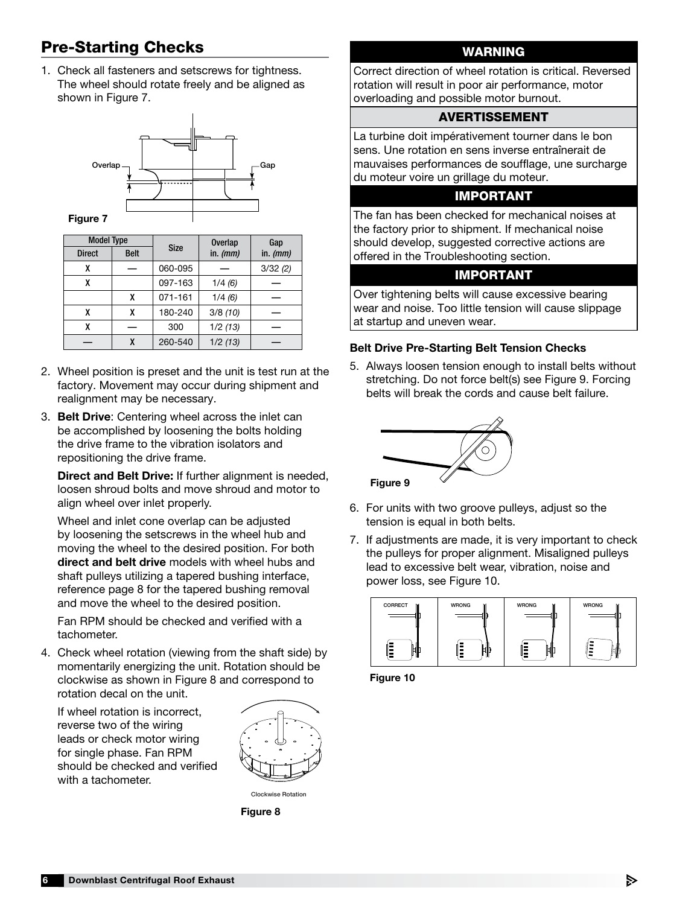# Pre-Starting Checks

1. Check all fasteners and setscrews for tightness. The wheel should rotate freely and be aligned as shown in Figure 7.



| <b>Model Type</b> |             |             | <b>Overlap</b> | Gap        |  |  |
|-------------------|-------------|-------------|----------------|------------|--|--|
| <b>Direct</b>     | <b>Belt</b> | <b>Size</b> | in. $(mm)$     | in. $(mm)$ |  |  |
| χ                 |             | 060-095     |                | 3/32(2)    |  |  |
| χ                 |             |             | 1/4(6)         |            |  |  |
|                   | χ           | 071-161     | 1/4(6)         |            |  |  |
| x                 | X           | 180-240     | 3/8(10)        |            |  |  |
| χ                 |             | 300         | 1/2(13)        |            |  |  |
|                   | χ           | 260-540     | 1/2(13)        |            |  |  |

- 2. Wheel position is preset and the unit is test run at the factory. Movement may occur during shipment and realignment may be necessary.
- 3. Belt Drive: Centering wheel across the inlet can be accomplished by loosening the bolts holding the drive frame to the vibration isolators and repositioning the drive frame.

Direct and Belt Drive: If further alignment is needed, loosen shroud bolts and move shroud and motor to align wheel over inlet properly.

Wheel and inlet cone overlap can be adjusted by loosening the setscrews in the wheel hub and moving the wheel to the desired position. For both direct and belt drive models with wheel hubs and shaft pulleys utilizing a tapered bushing interface, reference page 8 for the tapered bushing removal and move the wheel to the desired position.

Fan RPM should be checked and verified with a tachometer.

4. Check wheel rotation (viewing from the shaft side) by momentarily energizing the unit. Rotation should be clockwise as shown in Figure 8 and correspond to rotation decal on the unit.

If wheel rotation is incorrect, reverse two of the wiring leads or check motor wiring for single phase. Fan RPM should be checked and verified with a tachometer.



Clockwise Rotation

Figure 8

## WARNING

Correct direction of wheel rotation is critical. Reversed rotation will result in poor air performance, motor overloading and possible motor burnout.

#### AVERTISSEMENT

La turbine doit impérativement tourner dans le bon sens. Une rotation en sens inverse entraînerait de mauvaises performances de soufflage, une surcharge du moteur voire un grillage du moteur.

#### IMPORTANT

The fan has been checked for mechanical noises at the factory prior to shipment. If mechanical noise should develop, suggested corrective actions are offered in the Troubleshooting section.

#### IMPORTANT

Over tightening belts will cause excessive bearing wear and noise. Too little tension will cause slippage at startup and uneven wear.

#### Belt Drive Pre-Starting Belt Tension Checks

5. Always loosen tension enough to install belts without stretching. Do not force belt(s) see Figure 9. Forcing belts will break the cords and cause belt failure.



- 6. For units with two groove pulleys, adjust so the tension is equal in both belts.
- 7. If adjustments are made, it is very important to check the pulleys for proper alignment. Misaligned pulleys lead to excessive belt wear, vibration, noise and power loss, see Figure 10.



Figure 10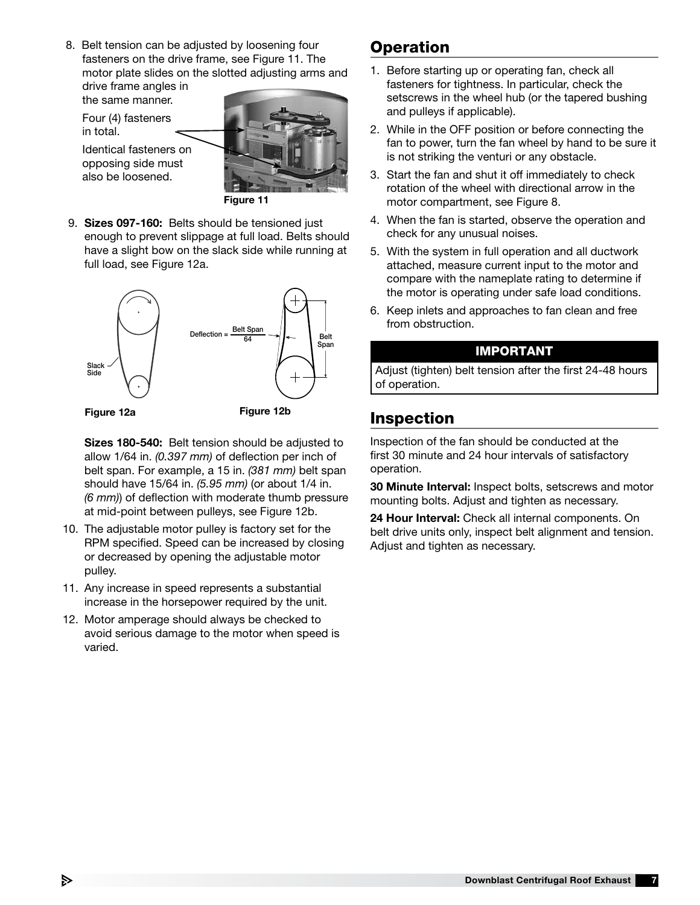8. Belt tension can be adjusted by loosening four fasteners on the drive frame, see Figure 11. The motor plate slides on the slotted adjusting arms and

drive frame angles in the same manner. Four (4) fasteners

in total.

Identical fasteners on opposing side must also be loosened.



Figure 11

9. Sizes 097-160: Belts should be tensioned just enough to prevent slippage at full load. Belts should have a slight bow on the slack side while running at full load, see Figure 12a.



Sizes 180-540: Belt tension should be adjusted to allow 1/64 in. *(0.397 mm)* of deflection per inch of belt span. For example, a 15 in. *(381 mm)* belt span should have 15/64 in. *(5.95 mm)* (or about 1/4 in. *(6 mm)*) of deflection with moderate thumb pressure at mid-point between pulleys, see Figure 12b.

- 10. The adjustable motor pulley is factory set for the RPM specified. Speed can be increased by closing or decreased by opening the adjustable motor pulley.
- 11. Any increase in speed represents a substantial increase in the horsepower required by the unit.
- 12. Motor amperage should always be checked to avoid serious damage to the motor when speed is varied.

# **Operation**

- 1. Before starting up or operating fan, check all fasteners for tightness. In particular, check the setscrews in the wheel hub (or the tapered bushing and pulleys if applicable).
- 2. While in the OFF position or before connecting the fan to power, turn the fan wheel by hand to be sure it is not striking the venturi or any obstacle.
- 3. Start the fan and shut it off immediately to check rotation of the wheel with directional arrow in the motor compartment, see Figure 8.
- 4. When the fan is started, observe the operation and check for any unusual noises.
- 5. With the system in full operation and all ductwork attached, measure current input to the motor and compare with the nameplate rating to determine if the motor is operating under safe load conditions.
- 6. Keep inlets and approaches to fan clean and free from obstruction.

#### IMPORTANT

Adjust (tighten) belt tension after the first 24-48 hours of operation.

# Inspection

Inspection of the fan should be conducted at the first 30 minute and 24 hour intervals of satisfactory operation.

30 Minute Interval: Inspect bolts, setscrews and motor mounting bolts. Adjust and tighten as necessary.

24 Hour Interval: Check all internal components. On belt drive units only, inspect belt alignment and tension. Adjust and tighten as necessary.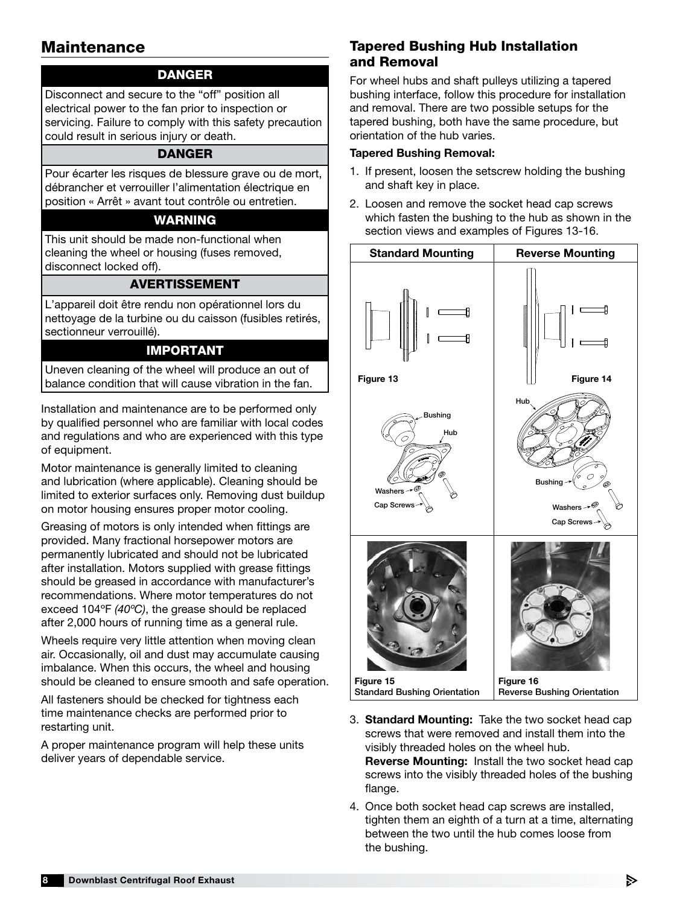# **Maintenance**

## DANGER

Disconnect and secure to the "off" position all electrical power to the fan prior to inspection or servicing. Failure to comply with this safety precaution could result in serious injury or death.

#### DANGER

Pour écarter les risques de blessure grave ou de mort, débrancher et verrouiller l'alimentation électrique en position « Arrêt » avant tout contrôle ou entretien.

#### WARNING

This unit should be made non-functional when cleaning the wheel or housing (fuses removed, disconnect locked off).

#### AVERTISSEMENT

L'appareil doit être rendu non opérationnel lors du nettoyage de la turbine ou du caisson (fusibles retirés, sectionneur verrouillé).

#### IMPORTANT

Uneven cleaning of the wheel will produce an out of balance condition that will cause vibration in the fan.

Installation and maintenance are to be performed only by qualified personnel who are familiar with local codes and regulations and who are experienced with this type of equipment.

Motor maintenance is generally limited to cleaning and lubrication (where applicable). Cleaning should be limited to exterior surfaces only. Removing dust buildup on motor housing ensures proper motor cooling.

Greasing of motors is only intended when fittings are provided. Many fractional horsepower motors are permanently lubricated and should not be lubricated after installation. Motors supplied with grease fittings should be greased in accordance with manufacturer's recommendations. Where motor temperatures do not exceed 104ºF *(40ºC)*, the grease should be replaced after 2,000 hours of running time as a general rule.

Wheels require very little attention when moving clean air. Occasionally, oil and dust may accumulate causing imbalance. When this occurs, the wheel and housing should be cleaned to ensure smooth and safe operation.

All fasteners should be checked for tightness each time maintenance checks are performed prior to restarting unit.

A proper maintenance program will help these units deliver years of dependable service.

## Tapered Bushing Hub Installation and Removal

For wheel hubs and shaft pulleys utilizing a tapered bushing interface, follow this procedure for installation and removal. There are two possible setups for the tapered bushing, both have the same procedure, but orientation of the hub varies.

#### Tapered Bushing Removal:

- 1. If present, loosen the setscrew holding the bushing and shaft key in place.
- 2. Loosen and remove the socket head cap screws which fasten the bushing to the hub as shown in the section views and examples of Figures 13-16.



- 3. Standard Mounting: Take the two socket head cap screws that were removed and install them into the visibly threaded holes on the wheel hub. Reverse Mounting: Install the two socket head cap screws into the visibly threaded holes of the bushing flange.
- 4. Once both socket head cap screws are installed, tighten them an eighth of a turn at a time, alternating between the two until the hub comes loose from the bushing.

В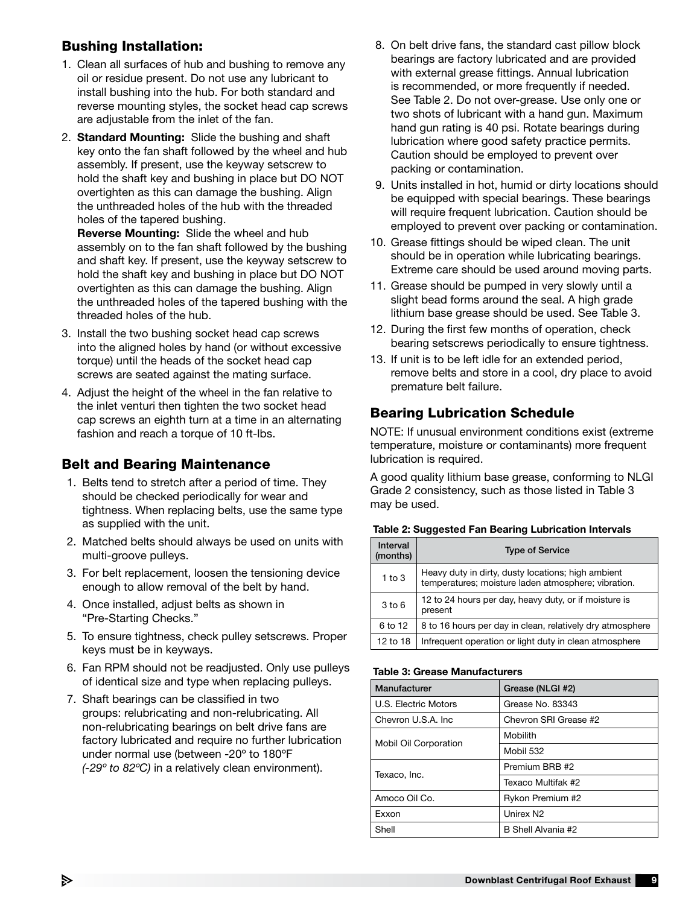## Bushing Installation:

- 1. Clean all surfaces of hub and bushing to remove any oil or residue present. Do not use any lubricant to install bushing into the hub. For both standard and reverse mounting styles, the socket head cap screws are adjustable from the inlet of the fan.
- 2. Standard Mounting: Slide the bushing and shaft key onto the fan shaft followed by the wheel and hub assembly. If present, use the keyway setscrew to hold the shaft key and bushing in place but DO NOT overtighten as this can damage the bushing. Align the unthreaded holes of the hub with the threaded holes of the tapered bushing.

Reverse Mounting: Slide the wheel and hub assembly on to the fan shaft followed by the bushing and shaft key. If present, use the keyway setscrew to hold the shaft key and bushing in place but DO NOT overtighten as this can damage the bushing. Align the unthreaded holes of the tapered bushing with the threaded holes of the hub.

- 3. Install the two bushing socket head cap screws into the aligned holes by hand (or without excessive torque) until the heads of the socket head cap screws are seated against the mating surface.
- 4. Adjust the height of the wheel in the fan relative to the inlet venturi then tighten the two socket head cap screws an eighth turn at a time in an alternating fashion and reach a torque of 10 ft-lbs.

## Belt and Bearing Maintenance

- 1. Belts tend to stretch after a period of time. They should be checked periodically for wear and tightness. When replacing belts, use the same type as supplied with the unit.
- 2. Matched belts should always be used on units with multi-groove pulleys.
- 3. For belt replacement, loosen the tensioning device enough to allow removal of the belt by hand.
- 4. Once installed, adjust belts as shown in "Pre-Starting Checks."
- 5. To ensure tightness, check pulley setscrews. Proper keys must be in keyways.
- 6. Fan RPM should not be readjusted. Only use pulleys of identical size and type when replacing pulleys.
- 7. Shaft bearings can be classified in two groups: relubricating and non-relubricating. All non-relubricating bearings on belt drive fans are factory lubricated and require no further lubrication under normal use (between -20º to 180ºF *(-29º to 82ºC)* in a relatively clean environment).
- 8. On belt drive fans, the standard cast pillow block bearings are factory lubricated and are provided with external grease fittings. Annual lubrication is recommended, or more frequently if needed. See Table 2. Do not over-grease. Use only one or two shots of lubricant with a hand gun. Maximum hand gun rating is 40 psi. Rotate bearings during lubrication where good safety practice permits. Caution should be employed to prevent over packing or contamination.
- 9. Units installed in hot, humid or dirty locations should be equipped with special bearings. These bearings will require frequent lubrication. Caution should be employed to prevent over packing or contamination.
- 10. Grease fittings should be wiped clean. The unit should be in operation while lubricating bearings. Extreme care should be used around moving parts.
- 11. Grease should be pumped in very slowly until a slight bead forms around the seal. A high grade lithium base grease should be used. See Table 3.
- 12. During the first few months of operation, check bearing setscrews periodically to ensure tightness.
- 13. If unit is to be left idle for an extended period, remove belts and store in a cool, dry place to avoid premature belt failure.

## Bearing Lubrication Schedule

NOTE: If unusual environment conditions exist (extreme temperature, moisture or contaminants) more frequent lubrication is required.

A good quality lithium base grease, conforming to NLGI Grade 2 consistency, such as those listed in Table 3 may be used.

| Interval<br>(months) | <b>Type of Service</b>                                                                                    |  |  |  |
|----------------------|-----------------------------------------------------------------------------------------------------------|--|--|--|
| $1$ to $3$           | Heavy duty in dirty, dusty locations; high ambient<br>temperatures; moisture laden atmosphere; vibration. |  |  |  |
| $3$ to $6$           | 12 to 24 hours per day, heavy duty, or if moisture is<br>present                                          |  |  |  |
| 6 to 12              | 8 to 16 hours per day in clean, relatively dry atmosphere                                                 |  |  |  |
| 12 to 18             | Infrequent operation or light duty in clean atmosphere                                                    |  |  |  |

#### Table 2: Suggested Fan Bearing Lubrication Intervals

#### Table 3: Grease Manufacturers

| Manufacturer                 | Grease (NLGI #2)      |  |  |  |
|------------------------------|-----------------------|--|--|--|
| U.S. Electric Motors         | Grease No. 83343      |  |  |  |
| Chevron U.S.A. Inc.          | Chevron SRI Grease #2 |  |  |  |
|                              | Mobilith              |  |  |  |
| <b>Mobil Oil Corporation</b> | Mobil 532             |  |  |  |
| Texaco, Inc.                 | Premium BRB #2        |  |  |  |
|                              | Texaco Multifak #2    |  |  |  |
| Amoco Oil Co.                | Rykon Premium #2      |  |  |  |
| Exxon                        | Unirex N <sub>2</sub> |  |  |  |
| Shell                        | B Shell Alvania #2    |  |  |  |

s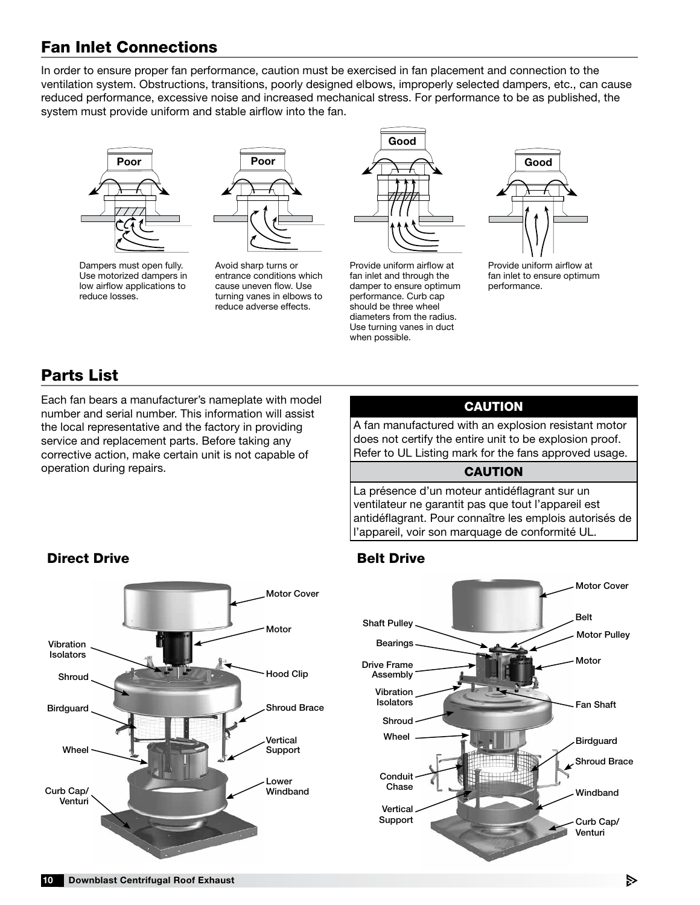# Fan Inlet Connections

In order to ensure proper fan performance, caution must be exercised in fan placement and connection to the ventilation system. Obstructions, transitions, poorly designed elbows, improperly selected dampers, etc., can cause reduced performance, excessive noise and increased mechanical stress. For performance to be as published, the system must provide uniform and stable airflow into the fan.





Dampers must open fully. Use motorized dampers in low airflow applications to reduce losses.

taming vance in cisence Avoid sharp turns or entrance conditions which cause uneven flow. Use turning vanes in elbows to



should be three wheel Provide uniform airflow at fan inlet and through the damper to ensure optimum performance. Curb cap diameters from the radius. Use turning vanes in duct when possible.



Provide uniform airflow at fan inlet to ensure optimum performance.

# Parts List

Each fan bears a manufacturer's nameplate with model number and serial number. This information will assist the local representative and the factory in providing service and replacement parts. Before taking any corrective action, make certain unit is not capable of operation during repairs.

## CAUTION

A fan manufactured with an explosion resistant motor does not certify the entire unit to be explosion proof. Refer to UL Listing mark for the fans approved usage.

#### CAUTION

La présence d'un moteur antidéflagrant sur un ventilateur ne garantit pas que tout l'appareil est antidéflagrant. Pour connaître les emplois autorisés de l'appareil, voir son marquage de conformité UL.



## **Direct Drive Accord Belt Drive Belt Drive**



#### ₿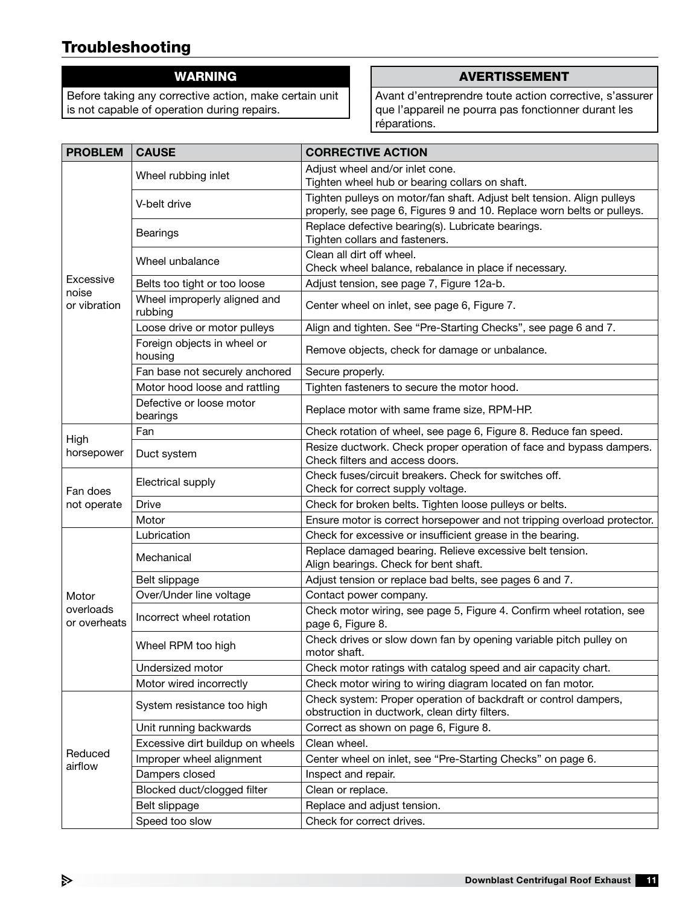# Troubleshooting

## WARNING

Before taking any corrective action, make certain unit is not capable of operation during repairs.

#### AVERTISSEMENT

Avant d'entreprendre toute action corrective, s'assurer que l'appareil ne pourra pas fonctionner durant les réparations.

| <b>PROBLEM</b>            | <b>CAUSE</b>                           | <b>CORRECTIVE ACTION</b>                                                                                         |  |  |  |  |
|---------------------------|----------------------------------------|------------------------------------------------------------------------------------------------------------------|--|--|--|--|
|                           | Wheel rubbing inlet                    | Adjust wheel and/or inlet cone.                                                                                  |  |  |  |  |
|                           |                                        | Tighten wheel hub or bearing collars on shaft.                                                                   |  |  |  |  |
|                           | V-belt drive                           | Tighten pulleys on motor/fan shaft. Adjust belt tension. Align pulleys                                           |  |  |  |  |
|                           |                                        | properly, see page 6, Figures 9 and 10. Replace worn belts or pulleys.                                           |  |  |  |  |
|                           | <b>Bearings</b>                        | Replace defective bearing(s). Lubricate bearings.                                                                |  |  |  |  |
|                           |                                        | Tighten collars and fasteners.<br>Clean all dirt off wheel.                                                      |  |  |  |  |
|                           | Wheel unbalance                        | Check wheel balance, rebalance in place if necessary.                                                            |  |  |  |  |
| Excessive                 | Belts too tight or too loose           | Adjust tension, see page 7, Figure 12a-b.                                                                        |  |  |  |  |
| noise                     | Wheel improperly aligned and           |                                                                                                                  |  |  |  |  |
| or vibration              | rubbing                                | Center wheel on inlet, see page 6, Figure 7.                                                                     |  |  |  |  |
|                           | Loose drive or motor pulleys           | Align and tighten. See "Pre-Starting Checks", see page 6 and 7.                                                  |  |  |  |  |
|                           | Foreign objects in wheel or<br>housing | Remove objects, check for damage or unbalance.                                                                   |  |  |  |  |
|                           | Fan base not securely anchored         | Secure properly.                                                                                                 |  |  |  |  |
|                           | Motor hood loose and rattling          | Tighten fasteners to secure the motor hood.                                                                      |  |  |  |  |
|                           | Defective or loose motor<br>bearings   | Replace motor with same frame size, RPM-HP.                                                                      |  |  |  |  |
| High                      | Fan                                    | Check rotation of wheel, see page 6, Figure 8. Reduce fan speed.                                                 |  |  |  |  |
| horsepower                | Duct system                            | Resize ductwork. Check proper operation of face and bypass dampers.<br>Check filters and access doors.           |  |  |  |  |
|                           | Electrical supply                      | Check fuses/circuit breakers. Check for switches off.                                                            |  |  |  |  |
| Fan does                  |                                        | Check for correct supply voltage.                                                                                |  |  |  |  |
| not operate               | <b>Drive</b>                           | Check for broken belts. Tighten loose pulleys or belts.                                                          |  |  |  |  |
|                           | Motor                                  | Ensure motor is correct horsepower and not tripping overload protector.                                          |  |  |  |  |
|                           | Lubrication                            | Check for excessive or insufficient grease in the bearing.                                                       |  |  |  |  |
|                           | Mechanical                             | Replace damaged bearing. Relieve excessive belt tension.<br>Align bearings. Check for bent shaft.                |  |  |  |  |
|                           | Belt slippage                          | Adjust tension or replace bad belts, see pages 6 and 7.                                                          |  |  |  |  |
| Motor                     | Over/Under line voltage                | Contact power company.                                                                                           |  |  |  |  |
| overloads<br>or overheats | Incorrect wheel rotation               | Check motor wiring, see page 5, Figure 4. Confirm wheel rotation, see<br>page 6, Figure 8.                       |  |  |  |  |
|                           | Wheel RPM too high                     | Check drives or slow down fan by opening variable pitch pulley on<br>motor shaft.                                |  |  |  |  |
|                           | Undersized motor                       | Check motor ratings with catalog speed and air capacity chart.                                                   |  |  |  |  |
|                           | Motor wired incorrectly                | Check motor wiring to wiring diagram located on fan motor.                                                       |  |  |  |  |
|                           | System resistance too high             | Check system: Proper operation of backdraft or control dampers,<br>obstruction in ductwork, clean dirty filters. |  |  |  |  |
|                           | Unit running backwards                 | Correct as shown on page 6, Figure 8.                                                                            |  |  |  |  |
|                           | Excessive dirt buildup on wheels       | Clean wheel.                                                                                                     |  |  |  |  |
| Reduced                   | Improper wheel alignment               | Center wheel on inlet, see "Pre-Starting Checks" on page 6.                                                      |  |  |  |  |
| airflow                   | Dampers closed                         | Inspect and repair.                                                                                              |  |  |  |  |
|                           | Blocked duct/clogged filter            | Clean or replace.                                                                                                |  |  |  |  |
|                           | Belt slippage                          | Replace and adjust tension.                                                                                      |  |  |  |  |
|                           | Speed too slow                         | Check for correct drives.                                                                                        |  |  |  |  |